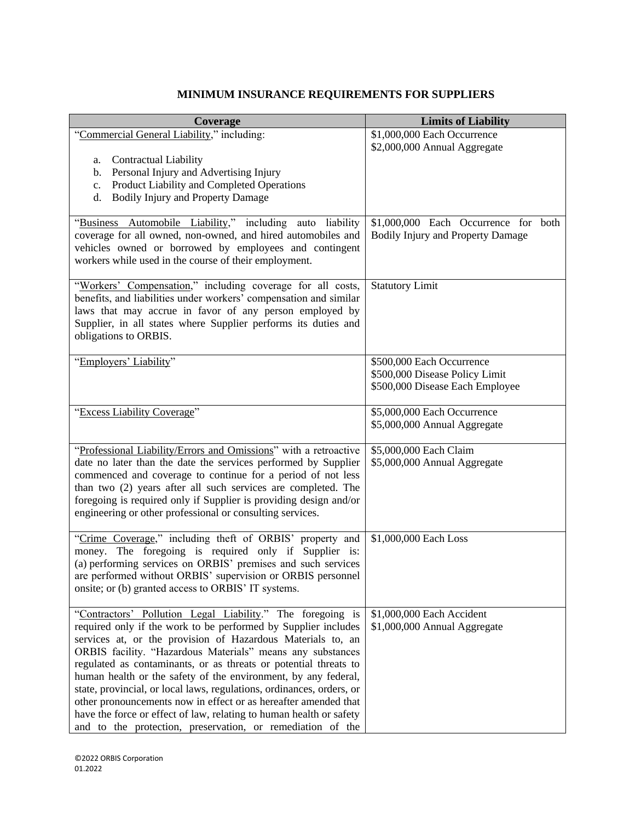## **MINIMUM INSURANCE REQUIREMENTS FOR SUPPLIERS**

| Coverage                                                                                                                           | <b>Limits of Liability</b>                                  |
|------------------------------------------------------------------------------------------------------------------------------------|-------------------------------------------------------------|
| "Commercial General Liability," including:                                                                                         | \$1,000,000 Each Occurrence                                 |
|                                                                                                                                    | \$2,000,000 Annual Aggregate                                |
| Contractual Liability<br>a.                                                                                                        |                                                             |
| Personal Injury and Advertising Injury<br>b.<br>Product Liability and Completed Operations                                         |                                                             |
| c.<br><b>Bodily Injury and Property Damage</b><br>d.                                                                               |                                                             |
|                                                                                                                                    |                                                             |
| Automobile Liability," including auto<br>liability<br>"Business"                                                                   | \$1,000,000 Each Occurrence for<br>both                     |
| coverage for all owned, non-owned, and hired automobiles and                                                                       | <b>Bodily Injury and Property Damage</b>                    |
| vehicles owned or borrowed by employees and contingent                                                                             |                                                             |
| workers while used in the course of their employment.                                                                              |                                                             |
| "Workers' Compensation," including coverage for all costs,                                                                         | <b>Statutory Limit</b>                                      |
| benefits, and liabilities under workers' compensation and similar                                                                  |                                                             |
| laws that may accrue in favor of any person employed by                                                                            |                                                             |
| Supplier, in all states where Supplier performs its duties and                                                                     |                                                             |
| obligations to ORBIS.                                                                                                              |                                                             |
| "Employers' Liability"                                                                                                             | \$500,000 Each Occurrence                                   |
|                                                                                                                                    | \$500,000 Disease Policy Limit                              |
|                                                                                                                                    | \$500,000 Disease Each Employee                             |
|                                                                                                                                    |                                                             |
| "Excess Liability Coverage"                                                                                                        | \$5,000,000 Each Occurrence<br>\$5,000,000 Annual Aggregate |
|                                                                                                                                    |                                                             |
| "Professional Liability/Errors and Omissions" with a retroactive                                                                   | \$5,000,000 Each Claim                                      |
| date no later than the date the services performed by Supplier                                                                     | \$5,000,000 Annual Aggregate                                |
| commenced and coverage to continue for a period of not less                                                                        |                                                             |
| than two (2) years after all such services are completed. The                                                                      |                                                             |
| foregoing is required only if Supplier is providing design and/or<br>engineering or other professional or consulting services.     |                                                             |
|                                                                                                                                    |                                                             |
| "Crime Coverage," including theft of ORBIS' property and                                                                           | \$1,000,000 Each Loss                                       |
| money. The foregoing is required only if Supplier is:                                                                              |                                                             |
| (a) performing services on ORBIS' premises and such services                                                                       |                                                             |
| are performed without ORBIS' supervision or ORBIS personnel<br>onsite; or (b) granted access to ORBIS' IT systems.                 |                                                             |
|                                                                                                                                    |                                                             |
| "Contractors' Pollution Legal Liability." The foregoing is                                                                         | \$1,000,000 Each Accident                                   |
| required only if the work to be performed by Supplier includes                                                                     | \$1,000,000 Annual Aggregate                                |
| services at, or the provision of Hazardous Materials to, an                                                                        |                                                             |
| ORBIS facility. "Hazardous Materials" means any substances                                                                         |                                                             |
| regulated as contaminants, or as threats or potential threats to<br>human health or the safety of the environment, by any federal, |                                                             |
| state, provincial, or local laws, regulations, ordinances, orders, or                                                              |                                                             |
| other pronouncements now in effect or as hereafter amended that                                                                    |                                                             |
| have the force or effect of law, relating to human health or safety                                                                |                                                             |
| and to the protection, preservation, or remediation of the                                                                         |                                                             |